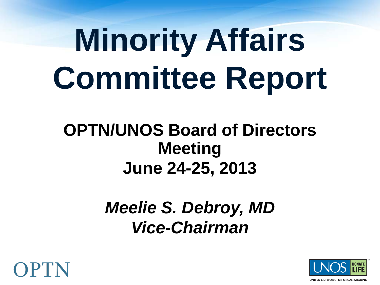# **Minority Affairs Committee Report**

#### **OPTN/UNOS Board of Directors Meeting June 24-25, 2013**

#### *Meelie S. Debroy, MD Vice-Chairman*



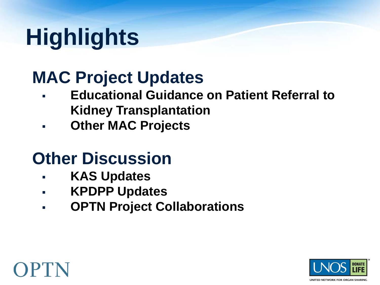# **Highlights**

## **MAC Project Updates**

- **Educational Guidance on Patient Referral to Kidney Transplantation**
- **Other MAC Projects**

## **Other Discussion**

- **KAS Updates**
- **KPDPP Updates**
- **OPTN Project Collaborations**



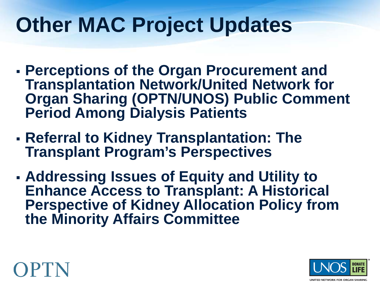## **Other MAC Project Updates**

- **Perceptions of the Organ Procurement and Transplantation Network/United Network for Organ Sharing (OPTN/UNOS) Public Comment Period Among Dialysis Patients**
- **Referral to Kidney Transplantation: The Transplant Program's Perspectives**
- **Addressing Issues of Equity and Utility to Enhance Access to Transplant: A Historical Perspective of Kidney Allocation Policy from the Minority Affairs Committee**



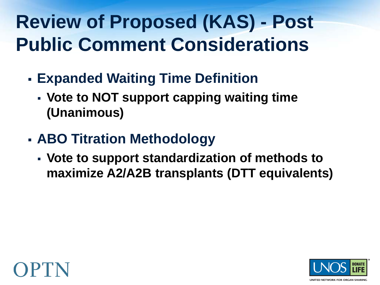## **Review of Proposed (KAS) - Post Public Comment Considerations**

- **Expanded Waiting Time Definition** 
	- **Vote to NOT support capping waiting time (Unanimous)**
- **ABO Titration Methodology**
	- **Vote to support standardization of methods to maximize A2/A2B transplants (DTT equivalents)**



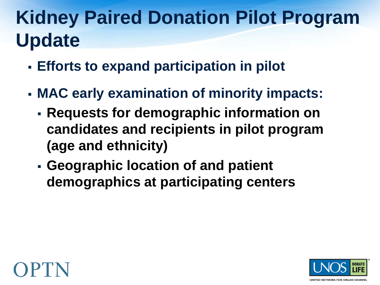## **Kidney Paired Donation Pilot Program Update**

- **Efforts to expand participation in pilot**
- **MAC early examination of minority impacts:**
	- **Requests for demographic information on candidates and recipients in pilot program (age and ethnicity)**
	- **Geographic location of and patient demographics at participating centers**



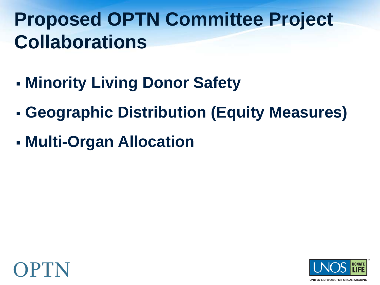## **Proposed OPTN Committee Project Collaborations**

- **Minority Living Donor Safety**
- **Geographic Distribution (Equity Measures)**
- **Multi-Organ Allocation**



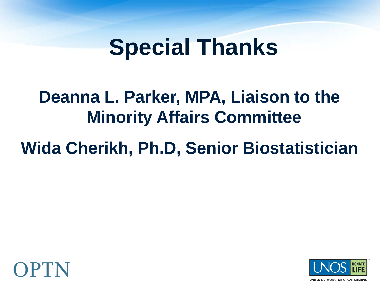# **Special Thanks**

## **Deanna L. Parker, MPA, Liaison to the Minority Affairs Committee**

## **Wida Cherikh, Ph.D, Senior Biostatistician**



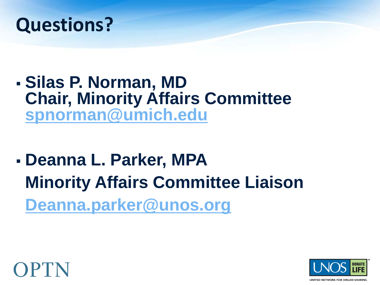

#### **Silas P. Norman, MD Chair, Minority Affairs Committee [spnorman@umich.edu](mailto:spnorman@umich.edu)**

 **Deanna L. Parker, MPA Minority Affairs Committee Liaison [Deanna.parker@unos.org](mailto:Deanna.parker@unos.org)**



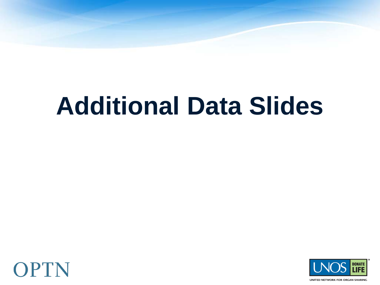# **Additional Data Slides**





UNITED NETWORK FOR ORGAN SHARING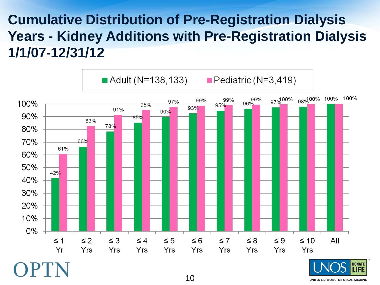#### **Cumulative Distribution of Pre-Registration Dialysis Years - Kidney Additions with Pre-Registration Dialysis 1/1/07-12/31/12**